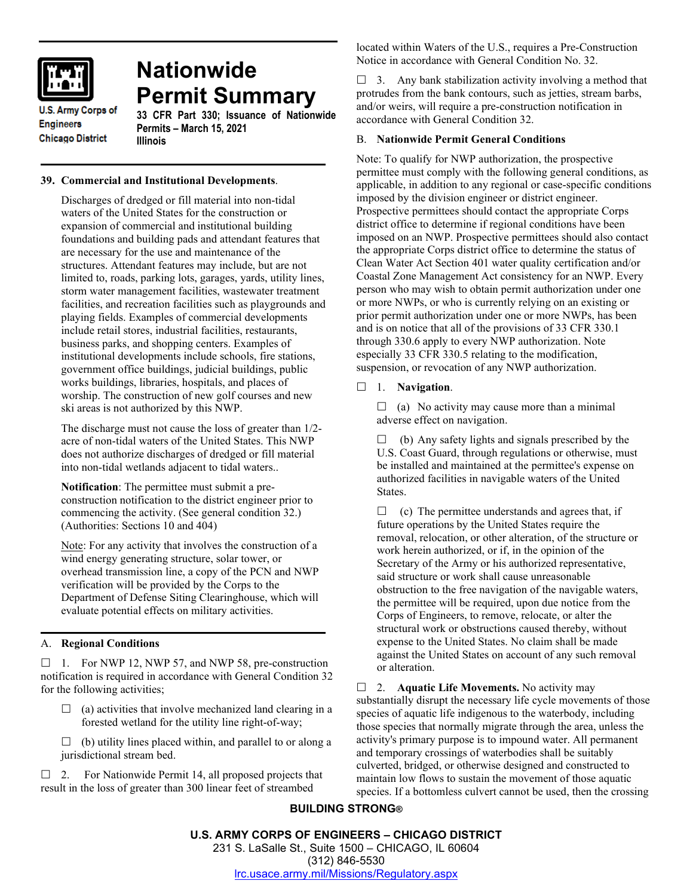

# **Nationwide Permit Summary**

**U.S. Army Corps of Engineers Chicago District** 

#### **33 CFR Part 330; Issuance of Nationwide Permits – March 15, 2021 Illinois**

# **39. Commercial and Institutional Developments**.

Discharges of dredged or fill material into non-tidal waters of the United States for the construction or expansion of commercial and institutional building foundations and building pads and attendant features that are necessary for the use and maintenance of the structures. Attendant features may include, but are not limited to, roads, parking lots, garages, yards, utility lines, storm water management facilities, wastewater treatment facilities, and recreation facilities such as playgrounds and playing fields. Examples of commercial developments include retail stores, industrial facilities, restaurants, business parks, and shopping centers. Examples of institutional developments include schools, fire stations, government office buildings, judicial buildings, public works buildings, libraries, hospitals, and places of worship. The construction of new golf courses and new ski areas is not authorized by this NWP.

The discharge must not cause the loss of greater than 1/2 acre of non-tidal waters of the United States. This NWP does not authorize discharges of dredged or fill material into non-tidal wetlands adjacent to tidal waters..

**Notification**: The permittee must submit a preconstruction notification to the district engineer prior to commencing the activity. (See general condition 32.) (Authorities: Sections 10 and 404)

Note: For any activity that involves the construction of a wind energy generating structure, solar tower, or overhead transmission line, a copy of the PCN and NWP verification will be provided by the Corps to the Department of Defense Siting Clearinghouse, which will evaluate potential effects on military activities.

# A. **Regional Conditions**

 $\Box$  1. For NWP 12, NWP 57, and NWP 58, pre-construction notification is required in accordance with General Condition 32 for the following activities;

- $\Box$  (a) activities that involve mechanized land clearing in a forested wetland for the utility line right-of-way;
- $\Box$  (b) utility lines placed within, and parallel to or along a jurisdictional stream bed.

 $\Box$  2. For Nationwide Permit 14, all proposed projects that result in the loss of greater than 300 linear feet of streambed

located within Waters of the U.S., requires a Pre-Construction Notice in accordance with General Condition No. 32.

 $\Box$  3. Any bank stabilization activity involving a method that protrudes from the bank contours, such as jetties, stream barbs, and/or weirs, will require a pre-construction notification in accordance with General Condition 32.

# B. **Nationwide Permit General Conditions**

Note: To qualify for NWP authorization, the prospective permittee must comply with the following general conditions, as applicable, in addition to any regional or case-specific conditions imposed by the division engineer or district engineer. Prospective permittees should contact the appropriate Corps district office to determine if regional conditions have been imposed on an NWP. Prospective permittees should also contact the appropriate Corps district office to determine the status of Clean Water Act Section 401 water quality certification and/or Coastal Zone Management Act consistency for an NWP. Every person who may wish to obtain permit authorization under one or more NWPs, or who is currently relying on an existing or prior permit authorization under one or more NWPs, has been and is on notice that all of the provisions of 33 CFR 330.1 through 330.6 apply to every NWP authorization. Note especially 33 CFR 330.5 relating to the modification, suspension, or revocation of any NWP authorization.

1. **Navigation**.

 $\Box$  (a) No activity may cause more than a minimal adverse effect on navigation.

 $\Box$  (b) Any safety lights and signals prescribed by the U.S. Coast Guard, through regulations or otherwise, must be installed and maintained at the permittee's expense on authorized facilities in navigable waters of the United States.

 $\Box$  (c) The permittee understands and agrees that, if future operations by the United States require the removal, relocation, or other alteration, of the structure or work herein authorized, or if, in the opinion of the Secretary of the Army or his authorized representative, said structure or work shall cause unreasonable obstruction to the free navigation of the navigable waters, the permittee will be required, upon due notice from the Corps of Engineers, to remove, relocate, or alter the structural work or obstructions caused thereby, without expense to the United States. No claim shall be made against the United States on account of any such removal or alteration.

□ 2. **Aquatic Life Movements.** No activity may substantially disrupt the necessary life cycle movements of those species of aquatic life indigenous to the waterbody, including those species that normally migrate through the area, unless the activity's primary purpose is to impound water. All permanent and temporary crossings of waterbodies shall be suitably culverted, bridged, or otherwise designed and constructed to maintain low flows to sustain the movement of those aquatic species. If a bottomless culvert cannot be used, then the crossing

# **BUILDING STRONG®**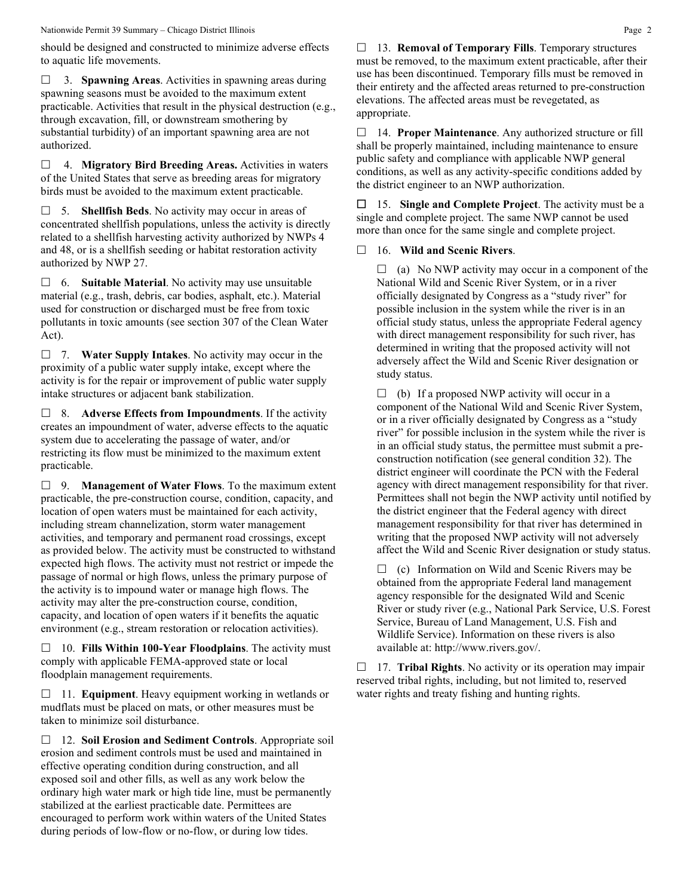Nationwide Permit 39 Summary – Chicago District Illinois Page 2

should be designed and constructed to minimize adverse effects to aquatic life movements.

 3. **Spawning Areas**. Activities in spawning areas during spawning seasons must be avoided to the maximum extent practicable. Activities that result in the physical destruction (e.g., through excavation, fill, or downstream smothering by substantial turbidity) of an important spawning area are not authorized.

 4. **Migratory Bird Breeding Areas.** Activities in waters of the United States that serve as breeding areas for migratory birds must be avoided to the maximum extent practicable.

 5. **Shellfish Beds**. No activity may occur in areas of concentrated shellfish populations, unless the activity is directly related to a shellfish harvesting activity authorized by NWPs 4 and 48, or is a shellfish seeding or habitat restoration activity authorized by NWP 27.

 6. **Suitable Material**. No activity may use unsuitable material (e.g., trash, debris, car bodies, asphalt, etc.). Material used for construction or discharged must be free from toxic pollutants in toxic amounts (see section 307 of the Clean Water Act).

 7. **Water Supply Intakes**. No activity may occur in the proximity of a public water supply intake, except where the activity is for the repair or improvement of public water supply intake structures or adjacent bank stabilization.

 8. **Adverse Effects from Impoundments**. If the activity creates an impoundment of water, adverse effects to the aquatic system due to accelerating the passage of water, and/or restricting its flow must be minimized to the maximum extent practicable.

 9. **Management of Water Flows**. To the maximum extent practicable, the pre-construction course, condition, capacity, and location of open waters must be maintained for each activity, including stream channelization, storm water management activities, and temporary and permanent road crossings, except as provided below. The activity must be constructed to withstand expected high flows. The activity must not restrict or impede the passage of normal or high flows, unless the primary purpose of the activity is to impound water or manage high flows. The activity may alter the pre-construction course, condition, capacity, and location of open waters if it benefits the aquatic environment (e.g., stream restoration or relocation activities).

 10. **Fills Within 100-Year Floodplains**. The activity must comply with applicable FEMA-approved state or local floodplain management requirements.

□ 11. **Equipment**. Heavy equipment working in wetlands or mudflats must be placed on mats, or other measures must be taken to minimize soil disturbance.

 12. **Soil Erosion and Sediment Controls**. Appropriate soil erosion and sediment controls must be used and maintained in effective operating condition during construction, and all exposed soil and other fills, as well as any work below the ordinary high water mark or high tide line, must be permanently stabilized at the earliest practicable date. Permittees are encouraged to perform work within waters of the United States during periods of low-flow or no-flow, or during low tides.

 13. **Removal of Temporary Fills**. Temporary structures must be removed, to the maximum extent practicable, after their use has been discontinued. Temporary fills must be removed in their entirety and the affected areas returned to pre-construction elevations. The affected areas must be revegetated, as appropriate.

 14. **Proper Maintenance**. Any authorized structure or fill shall be properly maintained, including maintenance to ensure public safety and compliance with applicable NWP general conditions, as well as any activity-specific conditions added by the district engineer to an NWP authorization.

 15. **Single and Complete Project**. The activity must be a single and complete project. The same NWP cannot be used more than once for the same single and complete project.

# 16. **Wild and Scenic Rivers**.

 $\Box$  (a) No NWP activity may occur in a component of the National Wild and Scenic River System, or in a river officially designated by Congress as a "study river" for possible inclusion in the system while the river is in an official study status, unless the appropriate Federal agency with direct management responsibility for such river, has determined in writing that the proposed activity will not adversely affect the Wild and Scenic River designation or study status.

 $\Box$  (b) If a proposed NWP activity will occur in a component of the National Wild and Scenic River System, or in a river officially designated by Congress as a "study river" for possible inclusion in the system while the river is in an official study status, the permittee must submit a preconstruction notification (see general condition 32). The district engineer will coordinate the PCN with the Federal agency with direct management responsibility for that river. Permittees shall not begin the NWP activity until notified by the district engineer that the Federal agency with direct management responsibility for that river has determined in writing that the proposed NWP activity will not adversely affect the Wild and Scenic River designation or study status.

 $\Box$  (c) Information on Wild and Scenic Rivers may be obtained from the appropriate Federal land management agency responsible for the designated Wild and Scenic River or study river (e.g., National Park Service, U.S. Forest Service, Bureau of Land Management, U.S. Fish and Wildlife Service). Information on these rivers is also available at: http://www.rivers.gov/.

 17. **Tribal Rights**. No activity or its operation may impair reserved tribal rights, including, but not limited to, reserved water rights and treaty fishing and hunting rights.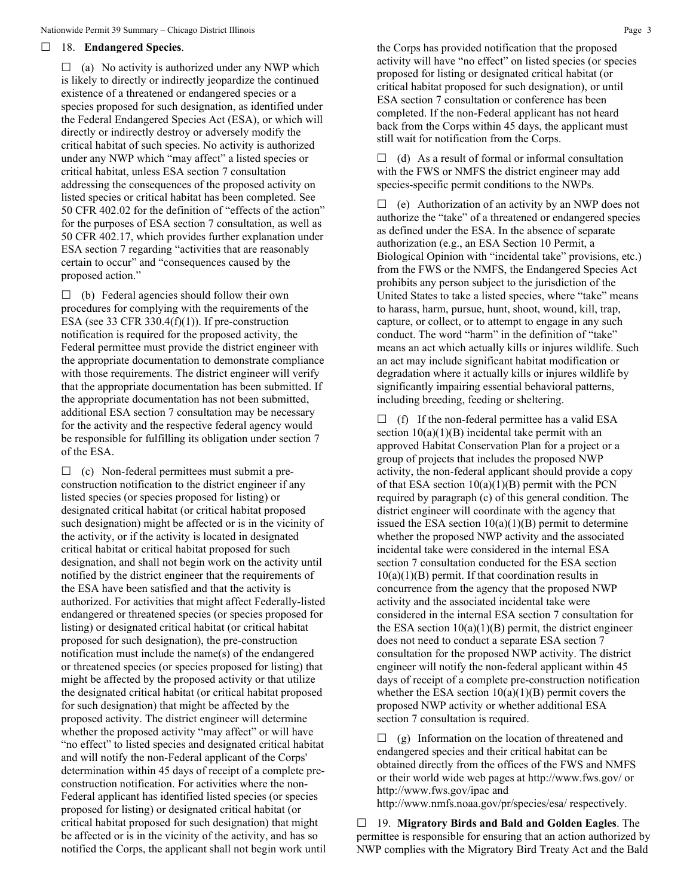#### 18. **Endangered Species**.

 $\Box$  (a) No activity is authorized under any NWP which is likely to directly or indirectly jeopardize the continued existence of a threatened or endangered species or a species proposed for such designation, as identified under the Federal Endangered Species Act (ESA), or which will directly or indirectly destroy or adversely modify the critical habitat of such species. No activity is authorized under any NWP which "may affect" a listed species or critical habitat, unless ESA section 7 consultation addressing the consequences of the proposed activity on listed species or critical habitat has been completed. See 50 CFR 402.02 for the definition of "effects of the action" for the purposes of ESA section 7 consultation, as well as 50 CFR 402.17, which provides further explanation under ESA section 7 regarding "activities that are reasonably certain to occur" and "consequences caused by the proposed action."

 $\Box$  (b) Federal agencies should follow their own procedures for complying with the requirements of the ESA (see 33 CFR 330.4 $(f)(1)$ ). If pre-construction notification is required for the proposed activity, the Federal permittee must provide the district engineer with the appropriate documentation to demonstrate compliance with those requirements. The district engineer will verify that the appropriate documentation has been submitted. If the appropriate documentation has not been submitted, additional ESA section 7 consultation may be necessary for the activity and the respective federal agency would be responsible for fulfilling its obligation under section 7 of the ESA.

 $\Box$  (c) Non-federal permittees must submit a preconstruction notification to the district engineer if any listed species (or species proposed for listing) or designated critical habitat (or critical habitat proposed such designation) might be affected or is in the vicinity of the activity, or if the activity is located in designated critical habitat or critical habitat proposed for such designation, and shall not begin work on the activity until notified by the district engineer that the requirements of the ESA have been satisfied and that the activity is authorized. For activities that might affect Federally-listed endangered or threatened species (or species proposed for listing) or designated critical habitat (or critical habitat proposed for such designation), the pre-construction notification must include the name(s) of the endangered or threatened species (or species proposed for listing) that might be affected by the proposed activity or that utilize the designated critical habitat (or critical habitat proposed for such designation) that might be affected by the proposed activity. The district engineer will determine whether the proposed activity "may affect" or will have "no effect" to listed species and designated critical habitat and will notify the non-Federal applicant of the Corps' determination within 45 days of receipt of a complete preconstruction notification. For activities where the non-Federal applicant has identified listed species (or species proposed for listing) or designated critical habitat (or critical habitat proposed for such designation) that might be affected or is in the vicinity of the activity, and has so notified the Corps, the applicant shall not begin work until  $\Box$  (d) As a result of formal or informal consultation with the FWS or NMFS the district engineer may add species-specific permit conditions to the NWPs.

 $\Box$  (e) Authorization of an activity by an NWP does not authorize the "take" of a threatened or endangered species as defined under the ESA. In the absence of separate authorization (e.g., an ESA Section 10 Permit, a Biological Opinion with "incidental take" provisions, etc.) from the FWS or the NMFS, the Endangered Species Act prohibits any person subject to the jurisdiction of the United States to take a listed species, where "take" means to harass, harm, pursue, hunt, shoot, wound, kill, trap, capture, or collect, or to attempt to engage in any such conduct. The word "harm" in the definition of "take" means an act which actually kills or injures wildlife. Such an act may include significant habitat modification or degradation where it actually kills or injures wildlife by significantly impairing essential behavioral patterns, including breeding, feeding or sheltering.

 $\Box$  (f) If the non-federal permittee has a valid ESA section  $10(a)(1)(B)$  incidental take permit with an approved Habitat Conservation Plan for a project or a group of projects that includes the proposed NWP activity, the non-federal applicant should provide a copy of that ESA section  $10(a)(1)(B)$  permit with the PCN required by paragraph (c) of this general condition. The district engineer will coordinate with the agency that issued the ESA section  $10(a)(1)(B)$  permit to determine whether the proposed NWP activity and the associated incidental take were considered in the internal ESA section 7 consultation conducted for the ESA section  $10(a)(1)(B)$  permit. If that coordination results in concurrence from the agency that the proposed NWP activity and the associated incidental take were considered in the internal ESA section 7 consultation for the ESA section  $10(a)(1)(B)$  permit, the district engineer does not need to conduct a separate ESA section 7 consultation for the proposed NWP activity. The district engineer will notify the non-federal applicant within 45 days of receipt of a complete pre-construction notification whether the ESA section  $10(a)(1)(B)$  permit covers the proposed NWP activity or whether additional ESA section 7 consultation is required.

 $\Box$  (g) Information on the location of threatened and endangered species and their critical habitat can be obtained directly from the offices of the FWS and NMFS or their world wide web pages at http://www.fws.gov/ or http://www.fws.gov/ipac and

http://www.nmfs.noaa.gov/pr/species/esa/ respectively.

 19. **Migratory Birds and Bald and Golden Eagles**. The permittee is responsible for ensuring that an action authorized by NWP complies with the Migratory Bird Treaty Act and the Bald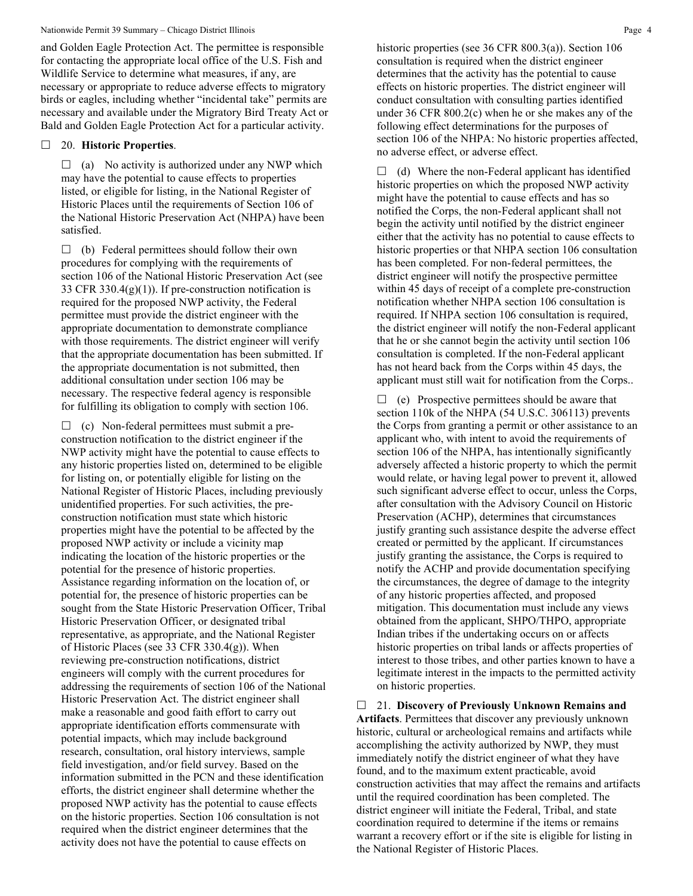and Golden Eagle Protection Act. The permittee is responsible for contacting the appropriate local office of the U.S. Fish and Wildlife Service to determine what measures, if any, are necessary or appropriate to reduce adverse effects to migratory birds or eagles, including whether "incidental take" permits are necessary and available under the Migratory Bird Treaty Act or Bald and Golden Eagle Protection Act for a particular activity.

#### 20. **Historic Properties**.

 $\Box$  (a) No activity is authorized under any NWP which may have the potential to cause effects to properties listed, or eligible for listing, in the National Register of Historic Places until the requirements of Section 106 of the National Historic Preservation Act (NHPA) have been satisfied.

 $\Box$  (b) Federal permittees should follow their own procedures for complying with the requirements of section 106 of the National Historic Preservation Act (see 33 CFR 330.4(g)(1)). If pre-construction notification is required for the proposed NWP activity, the Federal permittee must provide the district engineer with the appropriate documentation to demonstrate compliance with those requirements. The district engineer will verify that the appropriate documentation has been submitted. If the appropriate documentation is not submitted, then additional consultation under section 106 may be necessary. The respective federal agency is responsible for fulfilling its obligation to comply with section 106.

 $\Box$  (c) Non-federal permittees must submit a preconstruction notification to the district engineer if the NWP activity might have the potential to cause effects to any historic properties listed on, determined to be eligible for listing on, or potentially eligible for listing on the National Register of Historic Places, including previously unidentified properties. For such activities, the preconstruction notification must state which historic properties might have the potential to be affected by the proposed NWP activity or include a vicinity map indicating the location of the historic properties or the potential for the presence of historic properties. Assistance regarding information on the location of, or potential for, the presence of historic properties can be sought from the State Historic Preservation Officer, Tribal Historic Preservation Officer, or designated tribal representative, as appropriate, and the National Register of Historic Places (see 33 CFR 330.4(g)). When reviewing pre-construction notifications, district engineers will comply with the current procedures for addressing the requirements of section 106 of the National Historic Preservation Act. The district engineer shall make a reasonable and good faith effort to carry out appropriate identification efforts commensurate with potential impacts, which may include background research, consultation, oral history interviews, sample field investigation, and/or field survey. Based on the information submitted in the PCN and these identification efforts, the district engineer shall determine whether the proposed NWP activity has the potential to cause effects on the historic properties. Section 106 consultation is not required when the district engineer determines that the activity does not have the potential to cause effects on

historic properties (see 36 CFR 800.3(a)). Section 106 consultation is required when the district engineer determines that the activity has the potential to cause effects on historic properties. The district engineer will conduct consultation with consulting parties identified under 36 CFR 800.2(c) when he or she makes any of the following effect determinations for the purposes of section 106 of the NHPA: No historic properties affected, no adverse effect, or adverse effect.

 $\Box$  (d) Where the non-Federal applicant has identified historic properties on which the proposed NWP activity might have the potential to cause effects and has so notified the Corps, the non-Federal applicant shall not begin the activity until notified by the district engineer either that the activity has no potential to cause effects to historic properties or that NHPA section 106 consultation has been completed. For non-federal permittees, the district engineer will notify the prospective permittee within 45 days of receipt of a complete pre-construction notification whether NHPA section 106 consultation is required. If NHPA section 106 consultation is required, the district engineer will notify the non-Federal applicant that he or she cannot begin the activity until section 106 consultation is completed. If the non-Federal applicant has not heard back from the Corps within 45 days, the applicant must still wait for notification from the Corps..

 $\Box$  (e) Prospective permittees should be aware that section 110k of the NHPA (54 U.S.C. 306113) prevents the Corps from granting a permit or other assistance to an applicant who, with intent to avoid the requirements of section 106 of the NHPA, has intentionally significantly adversely affected a historic property to which the permit would relate, or having legal power to prevent it, allowed such significant adverse effect to occur, unless the Corps, after consultation with the Advisory Council on Historic Preservation (ACHP), determines that circumstances justify granting such assistance despite the adverse effect created or permitted by the applicant. If circumstances justify granting the assistance, the Corps is required to notify the ACHP and provide documentation specifying the circumstances, the degree of damage to the integrity of any historic properties affected, and proposed mitigation. This documentation must include any views obtained from the applicant, SHPO/THPO, appropriate Indian tribes if the undertaking occurs on or affects historic properties on tribal lands or affects properties of interest to those tribes, and other parties known to have a legitimate interest in the impacts to the permitted activity on historic properties.

 21. **Discovery of Previously Unknown Remains and Artifacts**. Permittees that discover any previously unknown historic, cultural or archeological remains and artifacts while accomplishing the activity authorized by NWP, they must immediately notify the district engineer of what they have found, and to the maximum extent practicable, avoid construction activities that may affect the remains and artifacts until the required coordination has been completed. The district engineer will initiate the Federal, Tribal, and state coordination required to determine if the items or remains warrant a recovery effort or if the site is eligible for listing in the National Register of Historic Places.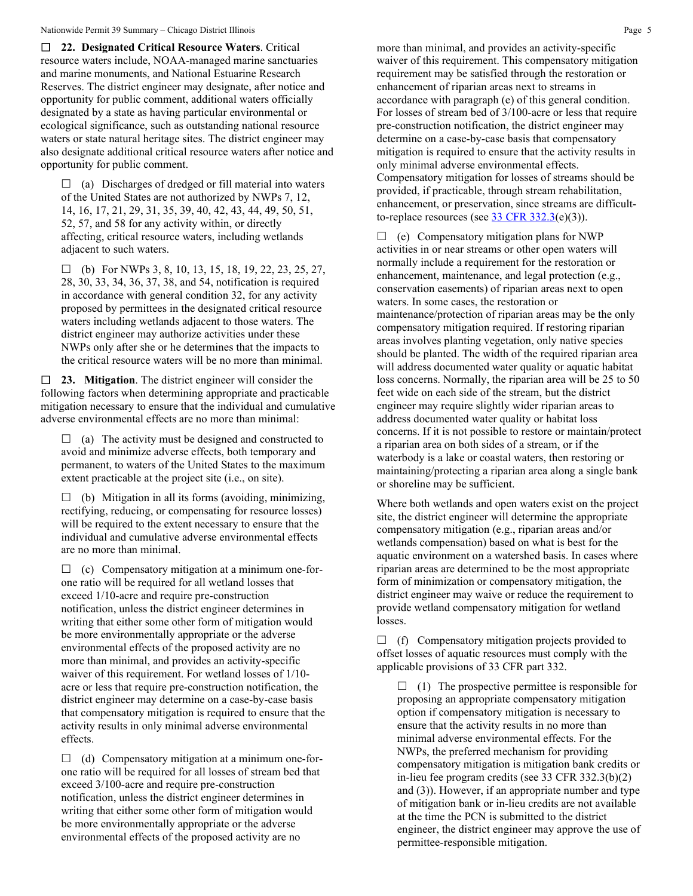**22. Designated Critical Resource Waters**. Critical resource waters include, NOAA-managed marine sanctuaries and marine monuments, and National Estuarine Research Reserves. The district engineer may designate, after notice and opportunity for public comment, additional waters officially designated by a state as having particular environmental or ecological significance, such as outstanding national resource waters or state natural heritage sites. The district engineer may also designate additional critical resource waters after notice and opportunity for public comment.

 $\Box$  (a) Discharges of dredged or fill material into waters of the United States are not authorized by NWPs 7, 12, 14, 16, 17, 21, 29, 31, 35, 39, 40, 42, 43, 44, 49, 50, 51, 52, 57, and 58 for any activity within, or directly affecting, critical resource waters, including wetlands adjacent to such waters.

 $\Box$  (b) For NWPs 3, 8, 10, 13, 15, 18, 19, 22, 23, 25, 27, 28, 30, 33, 34, 36, 37, 38, and 54, notification is required in accordance with general condition 32, for any activity proposed by permittees in the designated critical resource waters including wetlands adjacent to those waters. The district engineer may authorize activities under these NWPs only after she or he determines that the impacts to the critical resource waters will be no more than minimal.

 **23. Mitigation**. The district engineer will consider the following factors when determining appropriate and practicable mitigation necessary to ensure that the individual and cumulative adverse environmental effects are no more than minimal:

 $\Box$  (a) The activity must be designed and constructed to avoid and minimize adverse effects, both temporary and permanent, to waters of the United States to the maximum extent practicable at the project site (i.e., on site).

 $\Box$  (b) Mitigation in all its forms (avoiding, minimizing, rectifying, reducing, or compensating for resource losses) will be required to the extent necessary to ensure that the individual and cumulative adverse environmental effects are no more than minimal.

 $\Box$  (c) Compensatory mitigation at a minimum one-forone ratio will be required for all wetland losses that exceed 1/10-acre and require pre-construction notification, unless the district engineer determines in writing that either some other form of mitigation would be more environmentally appropriate or the adverse environmental effects of the proposed activity are no more than minimal, and provides an activity-specific waiver of this requirement. For wetland losses of 1/10 acre or less that require pre-construction notification, the district engineer may determine on a case-by-case basis that compensatory mitigation is required to ensure that the activity results in only minimal adverse environmental effects.

 $\Box$  (d) Compensatory mitigation at a minimum one-forone ratio will be required for all losses of stream bed that exceed 3/100-acre and require pre-construction notification, unless the district engineer determines in writing that either some other form of mitigation would be more environmentally appropriate or the adverse environmental effects of the proposed activity are no

more than minimal, and provides an activity-specific waiver of this requirement. This compensatory mitigation requirement may be satisfied through the restoration or enhancement of riparian areas next to streams in accordance with paragraph (e) of this general condition. For losses of stream bed of 3/100-acre or less that require pre-construction notification, the district engineer may determine on a case-by-case basis that compensatory mitigation is required to ensure that the activity results in only minimal adverse environmental effects. Compensatory mitigation for losses of streams should be provided, if practicable, through stream rehabilitation, enhancement, or preservation, since streams are difficultto-replace resources (see  $\frac{33 \text{ CFR } 332.3(e)(3)}{25}$ .

 $\Box$  (e) Compensatory mitigation plans for NWP activities in or near streams or other open waters will normally include a requirement for the restoration or enhancement, maintenance, and legal protection (e.g., conservation easements) of riparian areas next to open waters. In some cases, the restoration or maintenance/protection of riparian areas may be the only compensatory mitigation required. If restoring riparian areas involves planting vegetation, only native species should be planted. The width of the required riparian area will address documented water quality or aquatic habitat loss concerns. Normally, the riparian area will be 25 to 50 feet wide on each side of the stream, but the district engineer may require slightly wider riparian areas to address documented water quality or habitat loss concerns. If it is not possible to restore or maintain/protect a riparian area on both sides of a stream, or if the waterbody is a lake or coastal waters, then restoring or maintaining/protecting a riparian area along a single bank or shoreline may be sufficient.

Where both wetlands and open waters exist on the project site, the district engineer will determine the appropriate compensatory mitigation (e.g., riparian areas and/or wetlands compensation) based on what is best for the aquatic environment on a watershed basis. In cases where riparian areas are determined to be the most appropriate form of minimization or compensatory mitigation, the district engineer may waive or reduce the requirement to provide wetland compensatory mitigation for wetland losses.

 $\Box$  (f) Compensatory mitigation projects provided to offset losses of aquatic resources must comply with the applicable provisions of 33 CFR part 332.

 $\Box$  (1) The prospective permittee is responsible for proposing an appropriate compensatory mitigation option if compensatory mitigation is necessary to ensure that the activity results in no more than minimal adverse environmental effects. For the NWPs, the preferred mechanism for providing compensatory mitigation is mitigation bank credits or in-lieu fee program credits (see 33 CFR 332.3(b)(2) and (3)). However, if an appropriate number and type of mitigation bank or in-lieu credits are not available at the time the PCN is submitted to the district engineer, the district engineer may approve the use of permittee-responsible mitigation.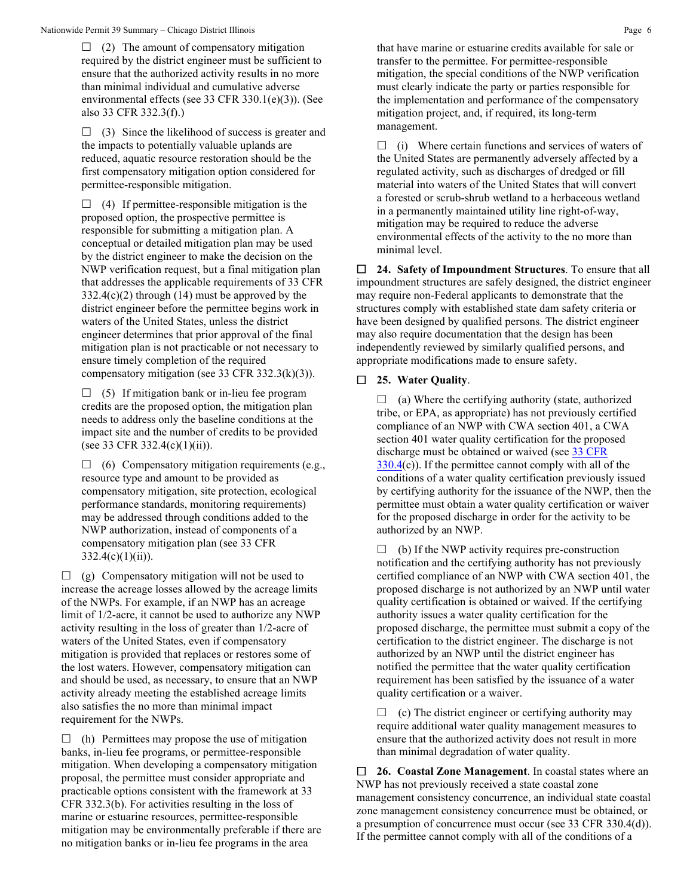$\Box$  (2) The amount of compensatory mitigation required by the district engineer must be sufficient to ensure that the authorized activity results in no more than minimal individual and cumulative adverse environmental effects (see 33 CFR 330.1(e)(3)). (See also 33 CFR 332.3(f).)

 $\Box$  (3) Since the likelihood of success is greater and the impacts to potentially valuable uplands are reduced, aquatic resource restoration should be the first compensatory mitigation option considered for permittee-responsible mitigation.

 $\Box$  (4) If permittee-responsible mitigation is the proposed option, the prospective permittee is responsible for submitting a mitigation plan. A conceptual or detailed mitigation plan may be used by the district engineer to make the decision on the NWP verification request, but a final mitigation plan that addresses the applicable requirements of 33 CFR  $332.4(c)(2)$  through (14) must be approved by the district engineer before the permittee begins work in waters of the United States, unless the district engineer determines that prior approval of the final mitigation plan is not practicable or not necessary to ensure timely completion of the required compensatory mitigation (see 33 CFR 332.3(k)(3)).

 $\Box$  (5) If mitigation bank or in-lieu fee program credits are the proposed option, the mitigation plan needs to address only the baseline conditions at the impact site and the number of credits to be provided (see 33 CFR 332.4(c)(1)(ii)).

 $\Box$  (6) Compensatory mitigation requirements (e.g., resource type and amount to be provided as compensatory mitigation, site protection, ecological performance standards, monitoring requirements) may be addressed through conditions added to the NWP authorization, instead of components of a compensatory mitigation plan (see 33 CFR  $332.4(c)(1)(ii)$ ).

 $\Box$  (g) Compensatory mitigation will not be used to increase the acreage losses allowed by the acreage limits of the NWPs. For example, if an NWP has an acreage limit of 1/2-acre, it cannot be used to authorize any NWP activity resulting in the loss of greater than 1/2-acre of waters of the United States, even if compensatory mitigation is provided that replaces or restores some of the lost waters. However, compensatory mitigation can and should be used, as necessary, to ensure that an NWP activity already meeting the established acreage limits also satisfies the no more than minimal impact requirement for the NWPs.

 $\Box$  (h) Permittees may propose the use of mitigation banks, in-lieu fee programs, or permittee-responsible mitigation. When developing a compensatory mitigation proposal, the permittee must consider appropriate and practicable options consistent with the framework at 33 CFR 332.3(b). For activities resulting in the loss of marine or estuarine resources, permittee-responsible mitigation may be environmentally preferable if there are no mitigation banks or in-lieu fee programs in the area

that have marine or estuarine credits available for sale or transfer to the permittee. For permittee-responsible mitigation, the special conditions of the NWP verification must clearly indicate the party or parties responsible for the implementation and performance of the compensatory mitigation project, and, if required, its long-term management.

 $\Box$  (i) Where certain functions and services of waters of the United States are permanently adversely affected by a regulated activity, such as discharges of dredged or fill material into waters of the United States that will convert a forested or scrub-shrub wetland to a herbaceous wetland in a permanently maintained utility line right-of-way, mitigation may be required to reduce the adverse environmental effects of the activity to the no more than minimal level.

 **24. Safety of Impoundment Structures**. To ensure that all impoundment structures are safely designed, the district engineer may require non-Federal applicants to demonstrate that the structures comply with established state dam safety criteria or have been designed by qualified persons. The district engineer may also require documentation that the design has been independently reviewed by similarly qualified persons, and appropriate modifications made to ensure safety.

#### **25. Water Quality**.

 $\Box$  (a) Where the certifying authority (state, authorized tribe, or EPA, as appropriate) has not previously certified compliance of an NWP with CWA section 401, a CWA section 401 water quality certification for the proposed discharge must be obtained or waived (see 33 CFR  $330.4(c)$  $330.4(c)$ ). If the permittee cannot comply with all of the conditions of a water quality certification previously issued by certifying authority for the issuance of the NWP, then the permittee must obtain a water quality certification or waiver for the proposed discharge in order for the activity to be authorized by an NWP.

 $\Box$  (b) If the NWP activity requires pre-construction notification and the certifying authority has not previously certified compliance of an NWP with CWA section 401, the proposed discharge is not authorized by an NWP until water quality certification is obtained or waived. If the certifying authority issues a water quality certification for the proposed discharge, the permittee must submit a copy of the certification to the district engineer. The discharge is not authorized by an NWP until the district engineer has notified the permittee that the water quality certification requirement has been satisfied by the issuance of a water quality certification or a waiver.

 $\Box$  (c) The district engineer or certifying authority may require additional water quality management measures to ensure that the authorized activity does not result in more than minimal degradation of water quality.

 **26. Coastal Zone Management**. In coastal states where an NWP has not previously received a state coastal zone management consistency concurrence, an individual state coastal zone management consistency concurrence must be obtained, or a presumption of concurrence must occur (see 33 CFR 330.4(d)). If the permittee cannot comply with all of the conditions of a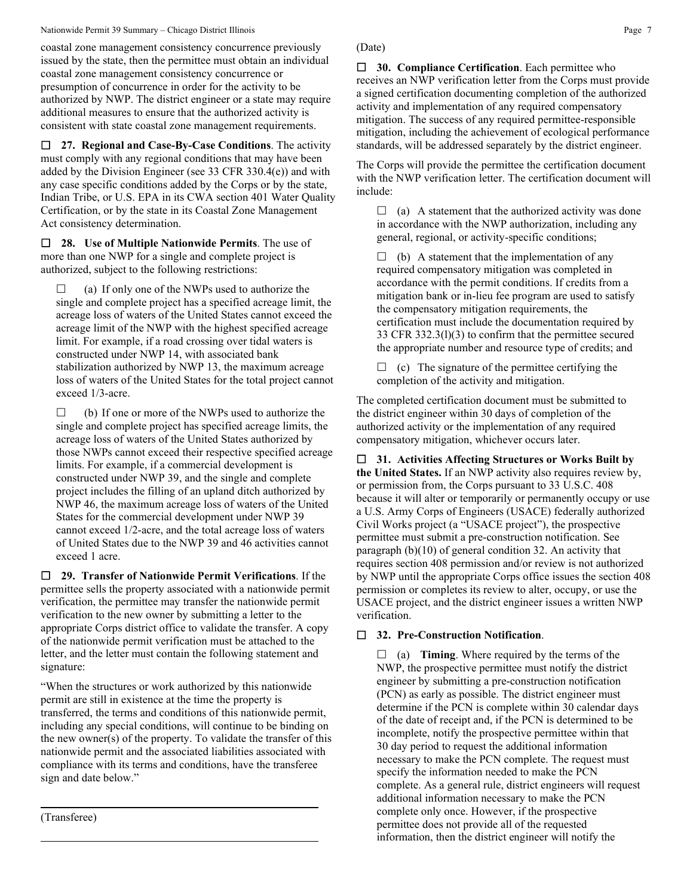#### Nationwide Permit 39 Summary – Chicago District Illinois **Page 7** Page 7

coastal zone management consistency concurrence previously issued by the state, then the permittee must obtain an individual coastal zone management consistency concurrence or presumption of concurrence in order for the activity to be authorized by NWP. The district engineer or a state may require additional measures to ensure that the authorized activity is consistent with state coastal zone management requirements.

 **27. Regional and Case-By-Case Conditions**. The activity must comply with any regional conditions that may have been added by the Division Engineer (see 33 CFR 330.4(e)) and with any case specific conditions added by the Corps or by the state, Indian Tribe, or U.S. EPA in its CWA section 401 Water Quality Certification, or by the state in its Coastal Zone Management Act consistency determination.

 **28. Use of Multiple Nationwide Permits**. The use of more than one NWP for a single and complete project is authorized, subject to the following restrictions:

 $\Box$  (a) If only one of the NWPs used to authorize the single and complete project has a specified acreage limit, the acreage loss of waters of the United States cannot exceed the acreage limit of the NWP with the highest specified acreage limit. For example, if a road crossing over tidal waters is constructed under NWP 14, with associated bank stabilization authorized by NWP 13, the maximum acreage loss of waters of the United States for the total project cannot exceed 1/3-acre.

 $\Box$  (b) If one or more of the NWPs used to authorize the single and complete project has specified acreage limits, the acreage loss of waters of the United States authorized by those NWPs cannot exceed their respective specified acreage limits. For example, if a commercial development is constructed under NWP 39, and the single and complete project includes the filling of an upland ditch authorized by NWP 46, the maximum acreage loss of waters of the United States for the commercial development under NWP 39 cannot exceed 1/2-acre, and the total acreage loss of waters of United States due to the NWP 39 and 46 activities cannot exceed 1 acre.

 **29. Transfer of Nationwide Permit Verifications**. If the permittee sells the property associated with a nationwide permit verification, the permittee may transfer the nationwide permit verification to the new owner by submitting a letter to the appropriate Corps district office to validate the transfer. A copy of the nationwide permit verification must be attached to the letter, and the letter must contain the following statement and signature:

"When the structures or work authorized by this nationwide permit are still in existence at the time the property is transferred, the terms and conditions of this nationwide permit, including any special conditions, will continue to be binding on the new owner(s) of the property. To validate the transfer of this nationwide permit and the associated liabilities associated with compliance with its terms and conditions, have the transferee sign and date below."

(Transferee)

# (Date)

 **30. Compliance Certification**. Each permittee who receives an NWP verification letter from the Corps must provide a signed certification documenting completion of the authorized activity and implementation of any required compensatory mitigation. The success of any required permittee-responsible mitigation, including the achievement of ecological performance standards, will be addressed separately by the district engineer.

The Corps will provide the permittee the certification document with the NWP verification letter. The certification document will include:

 $\Box$  (a) A statement that the authorized activity was done in accordance with the NWP authorization, including any general, regional, or activity-specific conditions;

 $\Box$  (b) A statement that the implementation of any required compensatory mitigation was completed in accordance with the permit conditions. If credits from a mitigation bank or in-lieu fee program are used to satisfy the compensatory mitigation requirements, the certification must include the documentation required by 33 CFR 332.3(l)(3) to confirm that the permittee secured the appropriate number and resource type of credits; and

 $\Box$  (c) The signature of the permittee certifying the completion of the activity and mitigation.

The completed certification document must be submitted to the district engineer within 30 days of completion of the authorized activity or the implementation of any required compensatory mitigation, whichever occurs later.

 **31. Activities Affecting Structures or Works Built by the United States.** If an NWP activity also requires review by, or permission from, the Corps pursuant to 33 U.S.C. 408 because it will alter or temporarily or permanently occupy or use a U.S. Army Corps of Engineers (USACE) federally authorized Civil Works project (a "USACE project"), the prospective permittee must submit a pre-construction notification. See paragraph (b)(10) of general condition 32. An activity that requires section 408 permission and/or review is not authorized by NWP until the appropriate Corps office issues the section 408 permission or completes its review to alter, occupy, or use the USACE project, and the district engineer issues a written NWP verification.

### **32. Pre-Construction Notification**.

 $\Box$  (a) **Timing**. Where required by the terms of the NWP, the prospective permittee must notify the district engineer by submitting a pre-construction notification (PCN) as early as possible. The district engineer must determine if the PCN is complete within 30 calendar days of the date of receipt and, if the PCN is determined to be incomplete, notify the prospective permittee within that 30 day period to request the additional information necessary to make the PCN complete. The request must specify the information needed to make the PCN complete. As a general rule, district engineers will request additional information necessary to make the PCN complete only once. However, if the prospective permittee does not provide all of the requested information, then the district engineer will notify the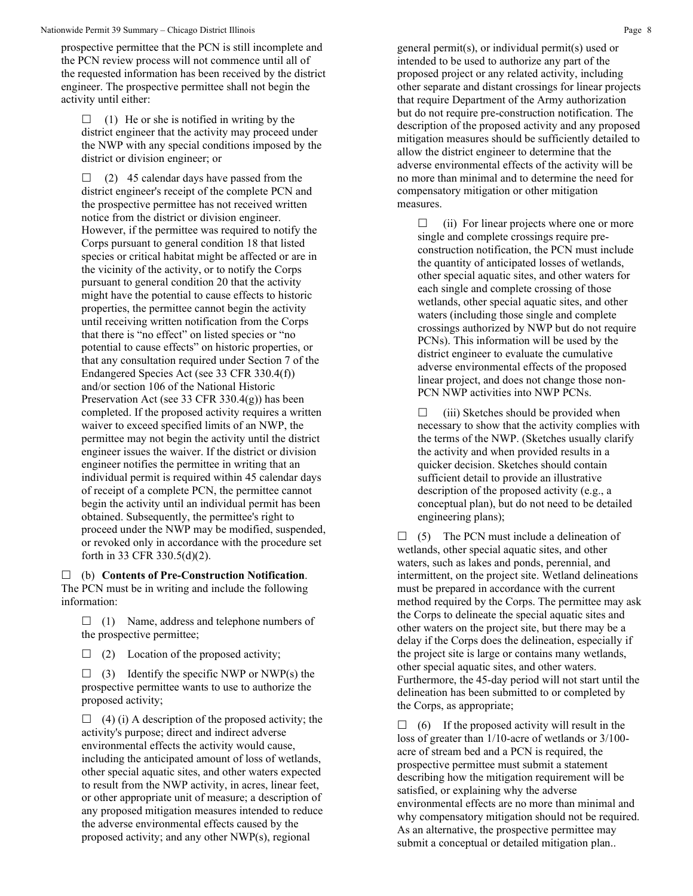prospective permittee that the PCN is still incomplete and the PCN review process will not commence until all of the requested information has been received by the district engineer. The prospective permittee shall not begin the activity until either:

 $\Box$  (1) He or she is notified in writing by the district engineer that the activity may proceed under the NWP with any special conditions imposed by the district or division engineer; or

 $\Box$  (2) 45 calendar days have passed from the district engineer's receipt of the complete PCN and the prospective permittee has not received written notice from the district or division engineer. However, if the permittee was required to notify the Corps pursuant to general condition 18 that listed species or critical habitat might be affected or are in the vicinity of the activity, or to notify the Corps pursuant to general condition 20 that the activity might have the potential to cause effects to historic properties, the permittee cannot begin the activity until receiving written notification from the Corps that there is "no effect" on listed species or "no potential to cause effects" on historic properties, or that any consultation required under Section 7 of the Endangered Species Act (see 33 CFR 330.4(f)) and/or section 106 of the National Historic Preservation Act (see 33 CFR 330.4(g)) has been completed. If the proposed activity requires a written waiver to exceed specified limits of an NWP, the permittee may not begin the activity until the district engineer issues the waiver. If the district or division engineer notifies the permittee in writing that an individual permit is required within 45 calendar days of receipt of a complete PCN, the permittee cannot begin the activity until an individual permit has been obtained. Subsequently, the permittee's right to proceed under the NWP may be modified, suspended, or revoked only in accordance with the procedure set forth in 33 CFR 330.5(d)(2).

 (b) **Contents of Pre-Construction Notification**. The PCN must be in writing and include the following information:

 $\Box$  (1) Name, address and telephone numbers of the prospective permittee;

 $\Box$  (2) Location of the proposed activity;

 $\Box$  (3) Identify the specific NWP or NWP(s) the prospective permittee wants to use to authorize the proposed activity;

 $\Box$  (4) (i) A description of the proposed activity; the activity's purpose; direct and indirect adverse environmental effects the activity would cause, including the anticipated amount of loss of wetlands, other special aquatic sites, and other waters expected to result from the NWP activity, in acres, linear feet, or other appropriate unit of measure; a description of any proposed mitigation measures intended to reduce the adverse environmental effects caused by the proposed activity; and any other NWP(s), regional

general permit(s), or individual permit(s) used or intended to be used to authorize any part of the proposed project or any related activity, including other separate and distant crossings for linear projects that require Department of the Army authorization but do not require pre-construction notification. The description of the proposed activity and any proposed mitigation measures should be sufficiently detailed to allow the district engineer to determine that the adverse environmental effects of the activity will be no more than minimal and to determine the need for compensatory mitigation or other mitigation measures.

 $\Box$  (ii) For linear projects where one or more single and complete crossings require preconstruction notification, the PCN must include the quantity of anticipated losses of wetlands, other special aquatic sites, and other waters for each single and complete crossing of those wetlands, other special aquatic sites, and other waters (including those single and complete crossings authorized by NWP but do not require PCNs). This information will be used by the district engineer to evaluate the cumulative adverse environmental effects of the proposed linear project, and does not change those non-PCN NWP activities into NWP PCNs.

 $\Box$  (iii) Sketches should be provided when necessary to show that the activity complies with the terms of the NWP. (Sketches usually clarify the activity and when provided results in a quicker decision. Sketches should contain sufficient detail to provide an illustrative description of the proposed activity (e.g., a conceptual plan), but do not need to be detailed engineering plans);

 $\Box$  (5) The PCN must include a delineation of wetlands, other special aquatic sites, and other waters, such as lakes and ponds, perennial, and intermittent, on the project site. Wetland delineations must be prepared in accordance with the current method required by the Corps. The permittee may ask the Corps to delineate the special aquatic sites and other waters on the project site, but there may be a delay if the Corps does the delineation, especially if the project site is large or contains many wetlands, other special aquatic sites, and other waters. Furthermore, the 45-day period will not start until the delineation has been submitted to or completed by the Corps, as appropriate;

 $\Box$  (6) If the proposed activity will result in the loss of greater than 1/10-acre of wetlands or 3/100 acre of stream bed and a PCN is required, the prospective permittee must submit a statement describing how the mitigation requirement will be satisfied, or explaining why the adverse environmental effects are no more than minimal and why compensatory mitigation should not be required. As an alternative, the prospective permittee may submit a conceptual or detailed mitigation plan..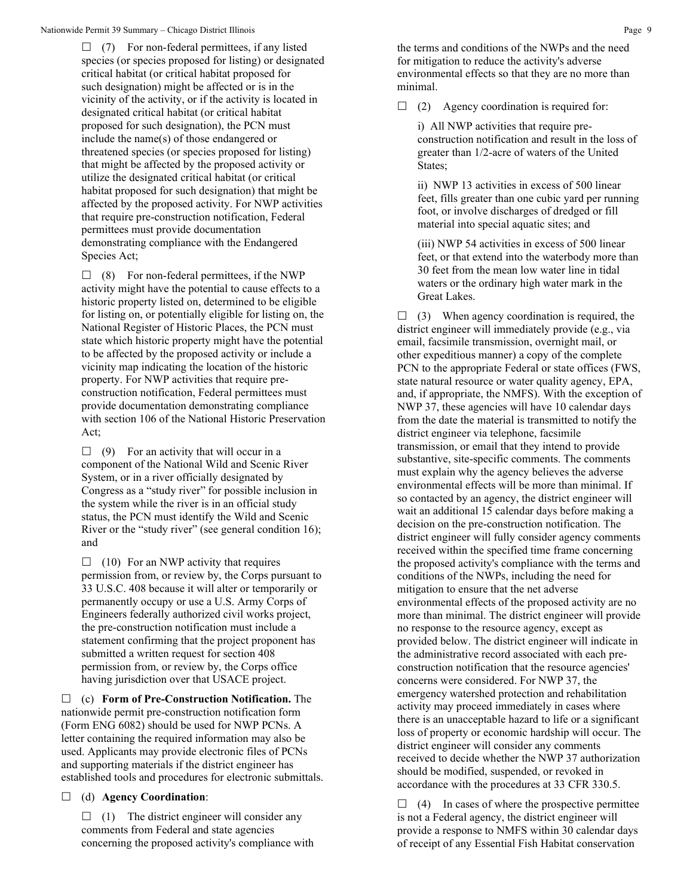$\Box$  (7) For non-federal permittees, if any listed species (or species proposed for listing) or designated critical habitat (or critical habitat proposed for such designation) might be affected or is in the vicinity of the activity, or if the activity is located in designated critical habitat (or critical habitat proposed for such designation), the PCN must include the name(s) of those endangered or threatened species (or species proposed for listing) that might be affected by the proposed activity or utilize the designated critical habitat (or critical habitat proposed for such designation) that might be affected by the proposed activity. For NWP activities that require pre-construction notification, Federal permittees must provide documentation demonstrating compliance with the Endangered Species Act;

 $\Box$  (8) For non-federal permittees, if the NWP activity might have the potential to cause effects to a historic property listed on, determined to be eligible for listing on, or potentially eligible for listing on, the National Register of Historic Places, the PCN must state which historic property might have the potential to be affected by the proposed activity or include a vicinity map indicating the location of the historic property. For NWP activities that require preconstruction notification, Federal permittees must provide documentation demonstrating compliance with section 106 of the National Historic Preservation Act;

 $\Box$  (9) For an activity that will occur in a component of the National Wild and Scenic River System, or in a river officially designated by Congress as a "study river" for possible inclusion in the system while the river is in an official study status, the PCN must identify the Wild and Scenic River or the "study river" (see general condition 16); and

 $\Box$  (10) For an NWP activity that requires permission from, or review by, the Corps pursuant to 33 U.S.C. 408 because it will alter or temporarily or permanently occupy or use a U.S. Army Corps of Engineers federally authorized civil works project, the pre-construction notification must include a statement confirming that the project proponent has submitted a written request for section 408 permission from, or review by, the Corps office having jurisdiction over that USACE project.

 (c) **Form of Pre-Construction Notification.** The nationwide permit pre-construction notification form (Form ENG 6082) should be used for NWP PCNs. A letter containing the required information may also be used. Applicants may provide electronic files of PCNs and supporting materials if the district engineer has established tools and procedures for electronic submittals.

(d) **Agency Coordination**:

 $\Box$  (1) The district engineer will consider any comments from Federal and state agencies concerning the proposed activity's compliance with the terms and conditions of the NWPs and the need for mitigation to reduce the activity's adverse environmental effects so that they are no more than minimal.

 $\Box$  (2) Agency coordination is required for:

i) All NWP activities that require preconstruction notification and result in the loss of greater than 1/2-acre of waters of the United States;

ii) NWP 13 activities in excess of 500 linear feet, fills greater than one cubic yard per running foot, or involve discharges of dredged or fill material into special aquatic sites; and

(iii) NWP 54 activities in excess of 500 linear feet, or that extend into the waterbody more than 30 feet from the mean low water line in tidal waters or the ordinary high water mark in the Great Lakes.

 $\Box$  (3) When agency coordination is required, the district engineer will immediately provide (e.g., via email, facsimile transmission, overnight mail, or other expeditious manner) a copy of the complete PCN to the appropriate Federal or state offices (FWS, state natural resource or water quality agency, EPA, and, if appropriate, the NMFS). With the exception of NWP 37, these agencies will have 10 calendar days from the date the material is transmitted to notify the district engineer via telephone, facsimile transmission, or email that they intend to provide substantive, site-specific comments. The comments must explain why the agency believes the adverse environmental effects will be more than minimal. If so contacted by an agency, the district engineer will wait an additional 15 calendar days before making a decision on the pre-construction notification. The district engineer will fully consider agency comments received within the specified time frame concerning the proposed activity's compliance with the terms and conditions of the NWPs, including the need for mitigation to ensure that the net adverse environmental effects of the proposed activity are no more than minimal. The district engineer will provide no response to the resource agency, except as provided below. The district engineer will indicate in the administrative record associated with each preconstruction notification that the resource agencies' concerns were considered. For NWP 37, the emergency watershed protection and rehabilitation activity may proceed immediately in cases where there is an unacceptable hazard to life or a significant loss of property or economic hardship will occur. The district engineer will consider any comments received to decide whether the NWP 37 authorization should be modified, suspended, or revoked in accordance with the procedures at 33 CFR 330.5.

 $\Box$  (4) In cases of where the prospective permittee is not a Federal agency, the district engineer will provide a response to NMFS within 30 calendar days of receipt of any Essential Fish Habitat conservation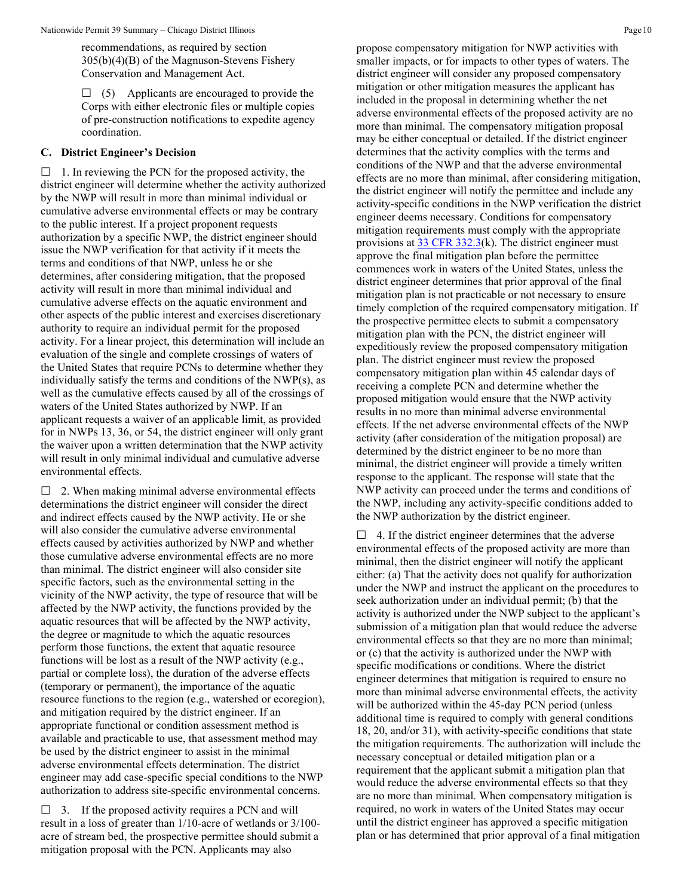recommendations, as required by section 305(b)(4)(B) of the Magnuson-Stevens Fishery Conservation and Management Act.

 $\Box$  (5) Applicants are encouraged to provide the Corps with either electronic files or multiple copies of pre-construction notifications to expedite agency coordination.

#### **C. District Engineer's Decision**

 $\Box$  1. In reviewing the PCN for the proposed activity, the district engineer will determine whether the activity authorized by the NWP will result in more than minimal individual or cumulative adverse environmental effects or may be contrary to the public interest. If a project proponent requests authorization by a specific NWP, the district engineer should issue the NWP verification for that activity if it meets the terms and conditions of that NWP, unless he or she determines, after considering mitigation, that the proposed activity will result in more than minimal individual and cumulative adverse effects on the aquatic environment and other aspects of the public interest and exercises discretionary authority to require an individual permit for the proposed activity. For a linear project, this determination will include an evaluation of the single and complete crossings of waters of the United States that require PCNs to determine whether they individually satisfy the terms and conditions of the NWP(s), as well as the cumulative effects caused by all of the crossings of waters of the United States authorized by NWP. If an applicant requests a waiver of an applicable limit, as provided for in NWPs 13, 36, or 54, the district engineer will only grant the waiver upon a written determination that the NWP activity will result in only minimal individual and cumulative adverse environmental effects.

 $\Box$  2. When making minimal adverse environmental effects determinations the district engineer will consider the direct and indirect effects caused by the NWP activity. He or she will also consider the cumulative adverse environmental effects caused by activities authorized by NWP and whether those cumulative adverse environmental effects are no more than minimal. The district engineer will also consider site specific factors, such as the environmental setting in the vicinity of the NWP activity, the type of resource that will be affected by the NWP activity, the functions provided by the aquatic resources that will be affected by the NWP activity, the degree or magnitude to which the aquatic resources perform those functions, the extent that aquatic resource functions will be lost as a result of the NWP activity (e.g., partial or complete loss), the duration of the adverse effects (temporary or permanent), the importance of the aquatic resource functions to the region (e.g., watershed or ecoregion), and mitigation required by the district engineer. If an appropriate functional or condition assessment method is available and practicable to use, that assessment method may be used by the district engineer to assist in the minimal adverse environmental effects determination. The district engineer may add case-specific special conditions to the NWP authorization to address site-specific environmental concerns.

 $\Box$  3. If the proposed activity requires a PCN and will result in a loss of greater than 1/10-acre of wetlands or 3/100 acre of stream bed, the prospective permittee should submit a mitigation proposal with the PCN. Applicants may also

propose compensatory mitigation for NWP activities with smaller impacts, or for impacts to other types of waters. The district engineer will consider any proposed compensatory mitigation or other mitigation measures the applicant has included in the proposal in determining whether the net adverse environmental effects of the proposed activity are no more than minimal. The compensatory mitigation proposal may be either conceptual or detailed. If the district engineer determines that the activity complies with the terms and conditions of the NWP and that the adverse environmental effects are no more than minimal, after considering mitigation, the district engineer will notify the permittee and include any activity-specific conditions in the NWP verification the district engineer deems necessary. Conditions for compensatory mitigation requirements must comply with the appropriate provisions at  $33 \text{ CFR } 332.3(k)$ . The district engineer must approve the final mitigation plan before the permittee commences work in waters of the United States, unless the district engineer determines that prior approval of the final mitigation plan is not practicable or not necessary to ensure timely completion of the required compensatory mitigation. If the prospective permittee elects to submit a compensatory mitigation plan with the PCN, the district engineer will expeditiously review the proposed compensatory mitigation plan. The district engineer must review the proposed compensatory mitigation plan within 45 calendar days of receiving a complete PCN and determine whether the proposed mitigation would ensure that the NWP activity results in no more than minimal adverse environmental effects. If the net adverse environmental effects of the NWP activity (after consideration of the mitigation proposal) are determined by the district engineer to be no more than minimal, the district engineer will provide a timely written response to the applicant. The response will state that the NWP activity can proceed under the terms and conditions of the NWP, including any activity-specific conditions added to the NWP authorization by the district engineer.

 $\Box$  4. If the district engineer determines that the adverse environmental effects of the proposed activity are more than minimal, then the district engineer will notify the applicant either: (a) That the activity does not qualify for authorization under the NWP and instruct the applicant on the procedures to seek authorization under an individual permit; (b) that the activity is authorized under the NWP subject to the applicant's submission of a mitigation plan that would reduce the adverse environmental effects so that they are no more than minimal; or (c) that the activity is authorized under the NWP with specific modifications or conditions. Where the district engineer determines that mitigation is required to ensure no more than minimal adverse environmental effects, the activity will be authorized within the 45-day PCN period (unless additional time is required to comply with general conditions 18, 20, and/or 31), with activity-specific conditions that state the mitigation requirements. The authorization will include the necessary conceptual or detailed mitigation plan or a requirement that the applicant submit a mitigation plan that would reduce the adverse environmental effects so that they are no more than minimal. When compensatory mitigation is required, no work in waters of the United States may occur until the district engineer has approved a specific mitigation plan or has determined that prior approval of a final mitigation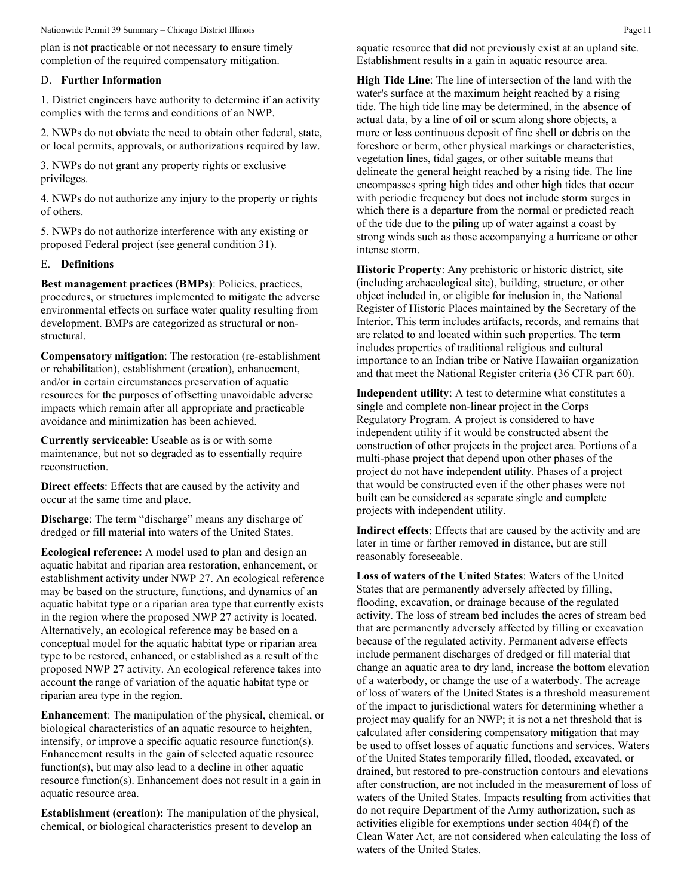plan is not practicable or not necessary to ensure timely completion of the required compensatory mitigation.

#### D. **Further Information**

1. District engineers have authority to determine if an activity complies with the terms and conditions of an NWP.

2. NWPs do not obviate the need to obtain other federal, state, or local permits, approvals, or authorizations required by law.

3. NWPs do not grant any property rights or exclusive privileges.

4. NWPs do not authorize any injury to the property or rights of others.

5. NWPs do not authorize interference with any existing or proposed Federal project (see general condition 31).

#### E. **Definitions**

**Best management practices (BMPs)**: Policies, practices, procedures, or structures implemented to mitigate the adverse environmental effects on surface water quality resulting from development. BMPs are categorized as structural or nonstructural.

**Compensatory mitigation**: The restoration (re-establishment or rehabilitation), establishment (creation), enhancement, and/or in certain circumstances preservation of aquatic resources for the purposes of offsetting unavoidable adverse impacts which remain after all appropriate and practicable avoidance and minimization has been achieved.

**Currently serviceable**: Useable as is or with some maintenance, but not so degraded as to essentially require reconstruction.

**Direct effects**: Effects that are caused by the activity and occur at the same time and place.

**Discharge**: The term "discharge" means any discharge of dredged or fill material into waters of the United States.

**Ecological reference:** A model used to plan and design an aquatic habitat and riparian area restoration, enhancement, or establishment activity under NWP 27. An ecological reference may be based on the structure, functions, and dynamics of an aquatic habitat type or a riparian area type that currently exists in the region where the proposed NWP 27 activity is located. Alternatively, an ecological reference may be based on a conceptual model for the aquatic habitat type or riparian area type to be restored, enhanced, or established as a result of the proposed NWP 27 activity. An ecological reference takes into account the range of variation of the aquatic habitat type or riparian area type in the region.

**Enhancement**: The manipulation of the physical, chemical, or biological characteristics of an aquatic resource to heighten, intensify, or improve a specific aquatic resource function(s). Enhancement results in the gain of selected aquatic resource function(s), but may also lead to a decline in other aquatic resource function(s). Enhancement does not result in a gain in aquatic resource area.

**Establishment (creation):** The manipulation of the physical, chemical, or biological characteristics present to develop an

aquatic resource that did not previously exist at an upland site. Establishment results in a gain in aquatic resource area.

**High Tide Line**: The line of intersection of the land with the water's surface at the maximum height reached by a rising tide. The high tide line may be determined, in the absence of actual data, by a line of oil or scum along shore objects, a more or less continuous deposit of fine shell or debris on the foreshore or berm, other physical markings or characteristics, vegetation lines, tidal gages, or other suitable means that delineate the general height reached by a rising tide. The line encompasses spring high tides and other high tides that occur with periodic frequency but does not include storm surges in which there is a departure from the normal or predicted reach of the tide due to the piling up of water against a coast by strong winds such as those accompanying a hurricane or other intense storm.

**Historic Property**: Any prehistoric or historic district, site (including archaeological site), building, structure, or other object included in, or eligible for inclusion in, the National Register of Historic Places maintained by the Secretary of the Interior. This term includes artifacts, records, and remains that are related to and located within such properties. The term includes properties of traditional religious and cultural importance to an Indian tribe or Native Hawaiian organization and that meet the National Register criteria (36 CFR part 60).

**Independent utility**: A test to determine what constitutes a single and complete non-linear project in the Corps Regulatory Program. A project is considered to have independent utility if it would be constructed absent the construction of other projects in the project area. Portions of a multi-phase project that depend upon other phases of the project do not have independent utility. Phases of a project that would be constructed even if the other phases were not built can be considered as separate single and complete projects with independent utility.

**Indirect effects**: Effects that are caused by the activity and are later in time or farther removed in distance, but are still reasonably foreseeable.

**Loss of waters of the United States**: Waters of the United States that are permanently adversely affected by filling, flooding, excavation, or drainage because of the regulated activity. The loss of stream bed includes the acres of stream bed that are permanently adversely affected by filling or excavation because of the regulated activity. Permanent adverse effects include permanent discharges of dredged or fill material that change an aquatic area to dry land, increase the bottom elevation of a waterbody, or change the use of a waterbody. The acreage of loss of waters of the United States is a threshold measurement of the impact to jurisdictional waters for determining whether a project may qualify for an NWP; it is not a net threshold that is calculated after considering compensatory mitigation that may be used to offset losses of aquatic functions and services. Waters of the United States temporarily filled, flooded, excavated, or drained, but restored to pre-construction contours and elevations after construction, are not included in the measurement of loss of waters of the United States. Impacts resulting from activities that do not require Department of the Army authorization, such as activities eligible for exemptions under section 404(f) of the Clean Water Act, are not considered when calculating the loss of waters of the United States.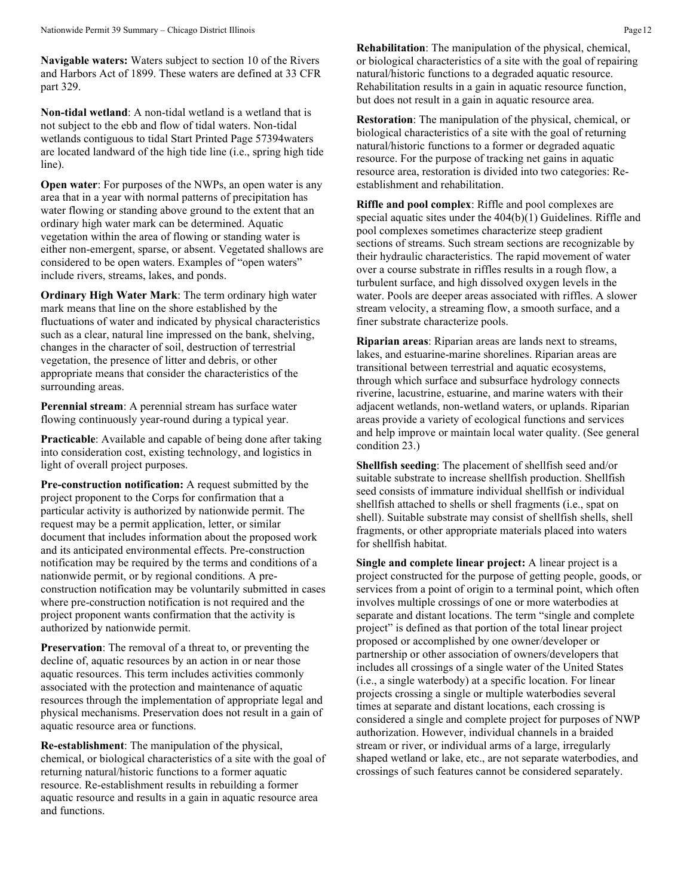**Navigable waters:** Waters subject to section 10 of the Rivers and Harbors Act of 1899. These waters are defined at 33 CFR part 329.

**Non-tidal wetland**: A non-tidal wetland is a wetland that is not subject to the ebb and flow of tidal waters. Non-tidal wetlands contiguous to tidal Start Printed Page 57394waters are located landward of the high tide line (i.e., spring high tide line).

**Open water:** For purposes of the NWPs, an open water is any area that in a year with normal patterns of precipitation has water flowing or standing above ground to the extent that an ordinary high water mark can be determined. Aquatic vegetation within the area of flowing or standing water is either non-emergent, sparse, or absent. Vegetated shallows are considered to be open waters. Examples of "open waters" include rivers, streams, lakes, and ponds.

**Ordinary High Water Mark**: The term ordinary high water mark means that line on the shore established by the fluctuations of water and indicated by physical characteristics such as a clear, natural line impressed on the bank, shelving, changes in the character of soil, destruction of terrestrial vegetation, the presence of litter and debris, or other appropriate means that consider the characteristics of the surrounding areas.

**Perennial stream**: A perennial stream has surface water flowing continuously year-round during a typical year.

**Practicable**: Available and capable of being done after taking into consideration cost, existing technology, and logistics in light of overall project purposes.

**Pre-construction notification:** A request submitted by the project proponent to the Corps for confirmation that a particular activity is authorized by nationwide permit. The request may be a permit application, letter, or similar document that includes information about the proposed work and its anticipated environmental effects. Pre-construction notification may be required by the terms and conditions of a nationwide permit, or by regional conditions. A preconstruction notification may be voluntarily submitted in cases where pre-construction notification is not required and the project proponent wants confirmation that the activity is authorized by nationwide permit.

**Preservation**: The removal of a threat to, or preventing the decline of, aquatic resources by an action in or near those aquatic resources. This term includes activities commonly associated with the protection and maintenance of aquatic resources through the implementation of appropriate legal and physical mechanisms. Preservation does not result in a gain of aquatic resource area or functions.

**Re-establishment**: The manipulation of the physical, chemical, or biological characteristics of a site with the goal of returning natural/historic functions to a former aquatic resource. Re-establishment results in rebuilding a former aquatic resource and results in a gain in aquatic resource area and functions.

**Rehabilitation**: The manipulation of the physical, chemical, or biological characteristics of a site with the goal of repairing natural/historic functions to a degraded aquatic resource. Rehabilitation results in a gain in aquatic resource function, but does not result in a gain in aquatic resource area.

**Restoration**: The manipulation of the physical, chemical, or biological characteristics of a site with the goal of returning natural/historic functions to a former or degraded aquatic resource. For the purpose of tracking net gains in aquatic resource area, restoration is divided into two categories: Reestablishment and rehabilitation.

**Riffle and pool complex**: Riffle and pool complexes are special aquatic sites under the 404(b)(1) Guidelines. Riffle and pool complexes sometimes characterize steep gradient sections of streams. Such stream sections are recognizable by their hydraulic characteristics. The rapid movement of water over a course substrate in riffles results in a rough flow, a turbulent surface, and high dissolved oxygen levels in the water. Pools are deeper areas associated with riffles. A slower stream velocity, a streaming flow, a smooth surface, and a finer substrate characterize pools.

**Riparian areas**: Riparian areas are lands next to streams, lakes, and estuarine-marine shorelines. Riparian areas are transitional between terrestrial and aquatic ecosystems, through which surface and subsurface hydrology connects riverine, lacustrine, estuarine, and marine waters with their adjacent wetlands, non-wetland waters, or uplands. Riparian areas provide a variety of ecological functions and services and help improve or maintain local water quality. (See general condition 23.)

**Shellfish seeding**: The placement of shellfish seed and/or suitable substrate to increase shellfish production. Shellfish seed consists of immature individual shellfish or individual shellfish attached to shells or shell fragments (i.e., spat on shell). Suitable substrate may consist of shellfish shells, shell fragments, or other appropriate materials placed into waters for shellfish habitat.

**Single and complete linear project:** A linear project is a project constructed for the purpose of getting people, goods, or services from a point of origin to a terminal point, which often involves multiple crossings of one or more waterbodies at separate and distant locations. The term "single and complete project" is defined as that portion of the total linear project proposed or accomplished by one owner/developer or partnership or other association of owners/developers that includes all crossings of a single water of the United States (i.e., a single waterbody) at a specific location. For linear projects crossing a single or multiple waterbodies several times at separate and distant locations, each crossing is considered a single and complete project for purposes of NWP authorization. However, individual channels in a braided stream or river, or individual arms of a large, irregularly shaped wetland or lake, etc., are not separate waterbodies, and crossings of such features cannot be considered separately.